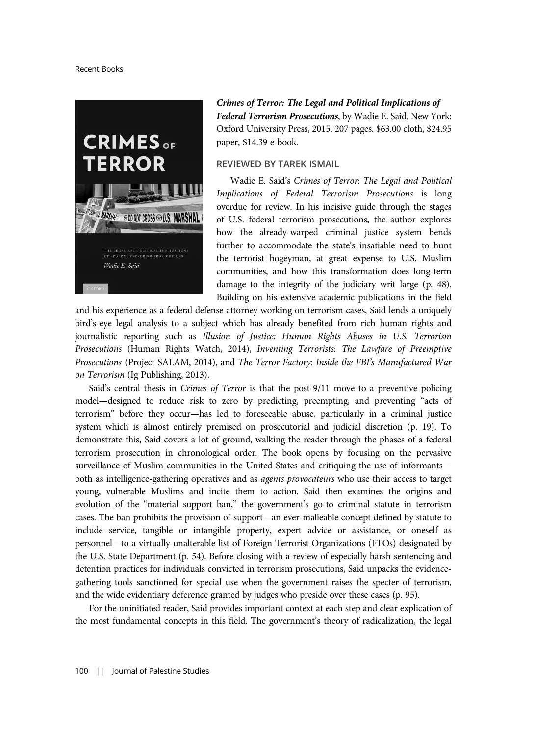

Crimes of Terror: The Legal and Political Implications of Federal Terrorism Prosecutions, by Wadie E. Said. New York: Oxford University Press, 2015. 207 pages. \$63.00 cloth, \$24.95 paper, \$14.39 e-book.

## REVIEWED BY TAREK ISMAIL

Wadie E. Said's Crimes of Terror: The Legal and Political Implications of Federal Terrorism Prosecutions is long overdue for review. In his incisive guide through the stages of U.S. federal terrorism prosecutions, the author explores how the already-warped criminal justice system bends further to accommodate the state's insatiable need to hunt the terrorist bogeyman, at great expense to U.S. Muslim communities, and how this transformation does long-term damage to the integrity of the judiciary writ large (p. 48). Building on his extensive academic publications in the field

and his experience as a federal defense attorney working on terrorism cases, Said lends a uniquely bird's-eye legal analysis to a subject which has already benefited from rich human rights and journalistic reporting such as Illusion of Justice: Human Rights Abuses in U.S. Terrorism Prosecutions (Human Rights Watch, 2014), Inventing Terrorists: The Lawfare of Preemptive Prosecutions (Project SALAM, 2014), and The Terror Factory: Inside the FBI's Manufactured War on Terrorism (Ig Publishing, 2013).

Said's central thesis in *Crimes of Terror* is that the post-9/11 move to a preventive policing model—designed to reduce risk to zero by predicting, preempting, and preventing "acts of terrorism" before they occur—has led to foreseeable abuse, particularly in a criminal justice system which is almost entirely premised on prosecutorial and judicial discretion (p. 19). To demonstrate this, Said covers a lot of ground, walking the reader through the phases of a federal terrorism prosecution in chronological order. The book opens by focusing on the pervasive surveillance of Muslim communities in the United States and critiquing the use of informants both as intelligence-gathering operatives and as agents provocateurs who use their access to target young, vulnerable Muslims and incite them to action. Said then examines the origins and evolution of the "material support ban," the government's go-to criminal statute in terrorism cases. The ban prohibits the provision of support—an ever-malleable concept defined by statute to include service, tangible or intangible property, expert advice or assistance, or oneself as personnel—to a virtually unalterable list of Foreign Terrorist Organizations (FTOs) designated by the U.S. State Department (p. 54). Before closing with a review of especially harsh sentencing and detention practices for individuals convicted in terrorism prosecutions, Said unpacks the evidencegathering tools sanctioned for special use when the government raises the specter of terrorism, and the wide evidentiary deference granted by judges who preside over these cases (p. 95).

For the uninitiated reader, Said provides important context at each step and clear explication of the most fundamental concepts in this field. The government's theory of radicalization, the legal